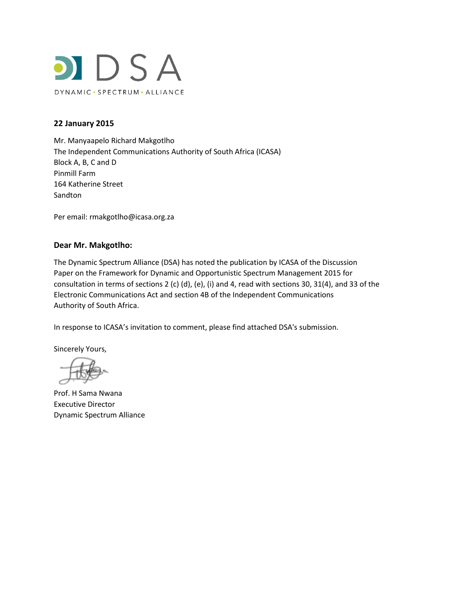

### **22 January 2015**

Mr. Manyaapelo Richard Makgotlho The Independent Communications Authority of South Africa (ICASA) Block A, B, C and D Pinmill Farm 164 Katherine Street Sandton

Per email: rmakgotlho@icasa.org.za

#### **Dear Mr. Makgotlho:**

The Dynamic Spectrum Alliance (DSA) has noted the publication by ICASA of the Discussion Paper on the Framework for Dynamic and Opportunistic Spectrum Management 2015 for consultation in terms of sections 2 (c) (d), (e), (i) and 4, read with sections 30, 31(4), and 33 of the Electronic Communications Act and section 4B of the Independent Communications Authority of South Africa.

In response to ICASA's invitation to comment, please find attached DSA's submission.

Sincerely Yours,

Prof. H Sama Nwana Executive Director Dynamic Spectrum Alliance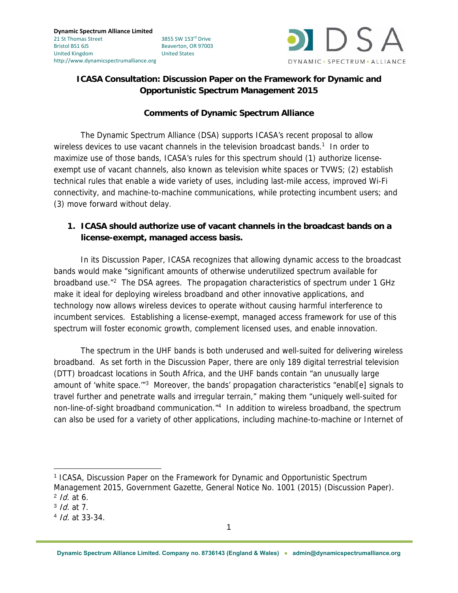

# **ICASA Consultation: Discussion Paper on the Framework for Dynamic and Opportunistic Spectrum Management 2015**

# **Comments of Dynamic Spectrum Alliance**

The Dynamic Spectrum Alliance (DSA) supports ICASA's recent proposal to allow wireless devices to use vacant channels in the television broadcast bands.<sup>1</sup> In order to maximize use of those bands, ICASA's rules for this spectrum should (1) authorize licenseexempt use of vacant channels, also known as television white spaces or TVWS; (2) establish technical rules that enable a wide variety of uses, including last-mile access, improved Wi-Fi connectivity, and machine-to-machine communications, while protecting incumbent users; and (3) move forward without delay.

# **1. ICASA should authorize use of vacant channels in the broadcast bands on a license-exempt, managed access basis.**

In its Discussion Paper, ICASA recognizes that allowing dynamic access to the broadcast bands would make "significant amounts of otherwise underutilized spectrum available for broadband use.<sup>"2</sup> The DSA agrees. The propagation characteristics of spectrum under 1 GHz make it ideal for deploying wireless broadband and other innovative applications, and technology now allows wireless devices to operate without causing harmful interference to incumbent services. Establishing a license-exempt, managed access framework for use of this spectrum will foster economic growth, complement licensed uses, and enable innovation.

The spectrum in the UHF bands is both underused and well-suited for delivering wireless broadband. As set forth in the Discussion Paper, there are only 189 digital terrestrial television (DTT) broadcast locations in South Africa, and the UHF bands contain "an unusually large amount of 'white space.'"<sup>3</sup> Moreover, the bands' propagation characteristics "enabl[e] signals to travel further and penetrate walls and irregular terrain," making them "uniquely well-suited for non-line-of-sight broadband communication."<sup>4</sup> In addition to wireless broadband, the spectrum can also be used for a variety of other applications, including machine-to-machine or Internet of

<sup>1</sup> ICASA, Discussion Paper on the Framework for Dynamic and Opportunistic Spectrum Management 2015, Government Gazette, General Notice No. 1001 (2015) (Discussion Paper).  $^{2}$  *ld.* at 6.

 $3$  *Id.* at 7.

<sup>4</sup> Id. at 33-34.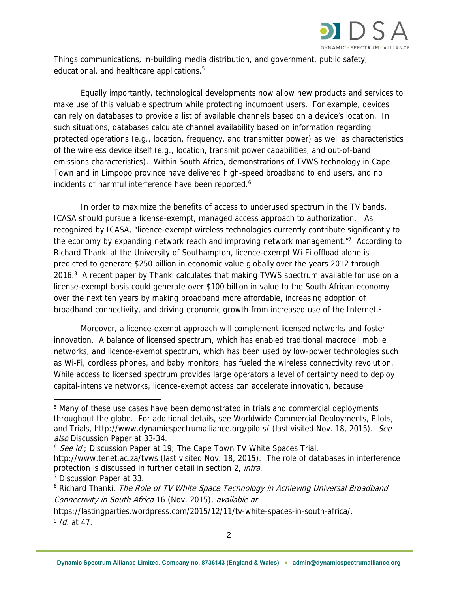

Things communications, in-building media distribution, and government, public safety, educational, and healthcare applications.<sup>5</sup>

Equally importantly, technological developments now allow new products and services to make use of this valuable spectrum while protecting incumbent users. For example, devices can rely on databases to provide a list of available channels based on a device's location. In such situations, databases calculate channel availability based on information regarding protected operations (e.g., location, frequency, and transmitter power) as well as characteristics of the wireless device itself (e.g., location, transmit power capabilities, and out-of-band emissions characteristics). Within South Africa, demonstrations of TVWS technology in Cape Town and in Limpopo province have delivered high-speed broadband to end users, and no incidents of harmful interference have been reported.<sup>6</sup>

In order to maximize the benefits of access to underused spectrum in the TV bands, ICASA should pursue a license-exempt, managed access approach to authorization. As recognized by ICASA, "licence-exempt wireless technologies currently contribute significantly to the economy by expanding network reach and improving network management."<sup>7</sup> According to Richard Thanki at the University of Southampton, licence-exempt Wi-Fi offload alone is predicted to generate \$250 billion in economic value globally over the years 2012 through 2016.<sup>8</sup> A recent paper by Thanki calculates that making TVWS spectrum available for use on a license-exempt basis could generate over \$100 billion in value to the South African economy over the next ten years by making broadband more affordable, increasing adoption of broadband connectivity, and driving economic growth from increased use of the Internet.<sup>9</sup>

Moreover, a licence-exempt approach will complement licensed networks and foster innovation. A balance of licensed spectrum, which has enabled traditional macrocell mobile networks, and licence-exempt spectrum, which has been used by low-power technologies such as Wi-Fi, cordless phones, and baby monitors, has fueled the wireless connectivity revolution. While access to licensed spectrum provides large operators a level of certainty need to deploy capital-intensive networks, licence-exempt access can accelerate innovation, because

<sup>5</sup> Many of these use cases have been demonstrated in trials and commercial deployments throughout the globe. For additional details, see Worldwide Commercial Deployments, Pilots, and Trials, http://www.dynamicspectrumalliance.org/pilots/ (last visited Nov. 18, 2015). See also Discussion Paper at 33-34.

<sup>&</sup>lt;sup>6</sup> See id.; Discussion Paper at 19; The Cape Town TV White Spaces Trial,

http://www.tenet.ac.za/tvws (last visited Nov. 18, 2015). The role of databases in interference protection is discussed in further detail in section 2, infra.

<sup>7</sup> Discussion Paper at 33.

<sup>&</sup>lt;sup>8</sup> Richard Thanki, *The Role of TV White Space Technology in Achieving Universal Broadband* Connectivity in South Africa 16 (Nov. 2015), available at

https://lastingparties.wordpress.com/2015/12/11/tv-white-spaces-in-south-africa/. <sup>9</sup> *Id.* at 47.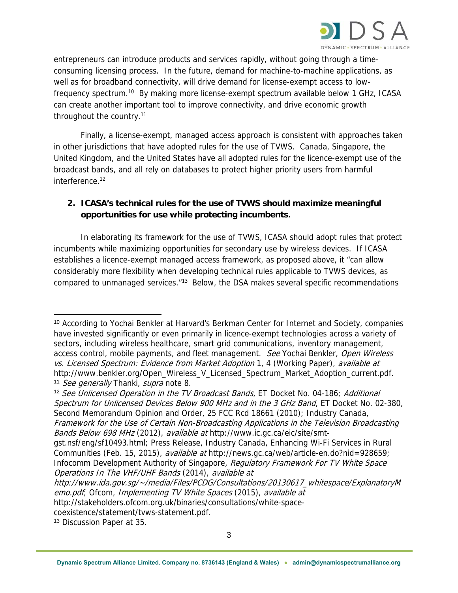

entrepreneurs can introduce products and services rapidly, without going through a timeconsuming licensing process. In the future, demand for machine-to-machine applications, as well as for broadband connectivity, will drive demand for license-exempt access to lowfrequency spectrum.10 By making more license-exempt spectrum available below 1 GHz, ICASA can create another important tool to improve connectivity, and drive economic growth throughout the country.11

Finally, a license-exempt, managed access approach is consistent with approaches taken in other jurisdictions that have adopted rules for the use of TVWS. Canada, Singapore, the United Kingdom, and the United States have all adopted rules for the licence-exempt use of the broadcast bands, and all rely on databases to protect higher priority users from harmful interference.<sup>12</sup>

# **2. ICASA's technical rules for the use of TVWS should maximize meaningful opportunities for use while protecting incumbents.**

In elaborating its framework for the use of TVWS, ICASA should adopt rules that protect incumbents while maximizing opportunities for secondary use by wireless devices. If ICASA establishes a licence-exempt managed access framework, as proposed above, it "can allow considerably more flexibility when developing technical rules applicable to TVWS devices, as compared to unmanaged services.<sup>"13</sup> Below, the DSA makes several specific recommendations

<sup>12</sup> See Unlicensed Operation in the TV Broadcast Bands, ET Docket No. 04-186; Additional Spectrum for Unlicensed Devices Below 900 MHz and in the 3 GHz Band, ET Docket No. 02-380, Second Memorandum Opinion and Order, 25 FCC Rcd 18661 (2010); Industry Canada, Framework for the Use of Certain Non-Broadcasting Applications in the Television Broadcasting Bands Below 698 MHz (2012), available at http://www.ic.gc.ca/eic/site/smt-

 <sup>10</sup> According to Yochai Benkler at Harvard's Berkman Center for Internet and Society, companies have invested significantly or even primarily in licence-exempt technologies across a variety of sectors, including wireless healthcare, smart grid communications, inventory management, access control, mobile payments, and fleet management. See Yochai Benkler, Open Wireless vs. Licensed Spectrum: Evidence from Market Adoption 1, 4 (Working Paper), available at http://www.benkler.org/Open\_Wireless\_V\_Licensed\_Spectrum\_Market\_Adoption\_current.pdf. <sup>11</sup> See generally Thanki, supra note 8.

gst.nsf/eng/sf10493.html; Press Release, Industry Canada, Enhancing Wi-Fi Services in Rural Communities (Feb. 15, 2015), available at http://news.gc.ca/web/article-en.do?nid=928659; Infocomm Development Authority of Singapore, Regulatory Framework For TV White Space Operations In The VHF/UHF Bands (2014), available at

http://www.ida.gov.sg/~/media/Files/PCDG/Consultations/20130617\_whitespace/ExplanatoryM emo.pdf; Ofcom, Implementing TV White Spaces (2015), available at

http://stakeholders.ofcom.org.uk/binaries/consultations/white-space-

coexistence/statement/tvws-statement.pdf.

<sup>13</sup> Discussion Paper at 35.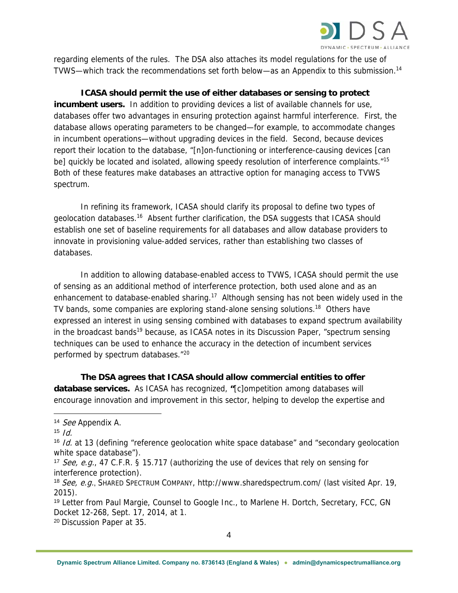

regarding elements of the rules. The DSA also attaches its model regulations for the use of TVWS—which track the recommendations set forth below—as an Appendix to this submission.14

**ICASA should permit the use of either databases or sensing to protect incumbent users.** In addition to providing devices a list of available channels for use, databases offer two advantages in ensuring protection against harmful interference. First, the database allows operating parameters to be changed—for example, to accommodate changes in incumbent operations—without upgrading devices in the field. Second, because devices report their location to the database, "[n]on-functioning or interference-causing devices [can be] quickly be located and isolated, allowing speedy resolution of interference complaints.<sup>"15</sup> Both of these features make databases an attractive option for managing access to TVWS spectrum.

In refining its framework, ICASA should clarify its proposal to define two types of geolocation databases.16 Absent further clarification, the DSA suggests that ICASA should establish one set of baseline requirements for all databases and allow database providers to innovate in provisioning value-added services, rather than establishing two classes of databases.

In addition to allowing database-enabled access to TVWS, ICASA should permit the use of sensing as an additional method of interference protection, both used alone and as an enhancement to database-enabled sharing.<sup>17</sup> Although sensing has not been widely used in the TV bands, some companies are exploring stand-alone sensing solutions.18 Others have expressed an interest in using sensing combined with databases to expand spectrum availability in the broadcast bands<sup>19</sup> because, as ICASA notes in its Discussion Paper, "spectrum sensing techniques can be used to enhance the accuracy in the detection of incumbent services performed by spectrum databases."20

**The DSA agrees that ICASA should allow commercial entities to offer database services.** As ICASA has recognized, **"**[c]ompetition among databases will encourage innovation and improvement in this sector, helping to develop the expertise and

-

<sup>20</sup> Discussion Paper at 35.

<sup>&</sup>lt;sup>14</sup> See Appendix A.

<sup>15</sup>  $Id.$ 

<sup>&</sup>lt;sup>16</sup> *Id.* at 13 (defining "reference geolocation white space database" and "secondary geolocation white space database").

<sup>&</sup>lt;sup>17</sup> See, e.g., 47 C.F.R. § 15.717 (authorizing the use of devices that rely on sensing for interference protection).

<sup>&</sup>lt;sup>18</sup> See, e.g., SHARED SPECTRUM COMPANY, http://www.sharedspectrum.com/ (last visited Apr. 19, 2015).

<sup>&</sup>lt;sup>19</sup> Letter from Paul Margie, Counsel to Google Inc., to Marlene H. Dortch, Secretary, FCC, GN Docket 12-268, Sept. 17, 2014, at 1.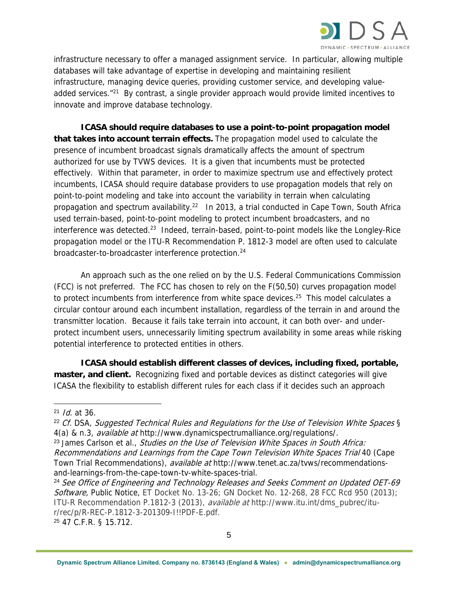

infrastructure necessary to offer a managed assignment service. In particular, allowing multiple databases will take advantage of expertise in developing and maintaining resilient infrastructure, managing device queries, providing customer service, and developing valueadded services."<sup>21</sup> By contrast, a single provider approach would provide limited incentives to innovate and improve database technology.

**ICASA should require databases to use a point-to-point propagation model that takes into account terrain effects.** The propagation model used to calculate the presence of incumbent broadcast signals dramatically affects the amount of spectrum authorized for use by TVWS devices. It is a given that incumbents must be protected effectively. Within that parameter, in order to maximize spectrum use and effectively protect incumbents, ICASA should require database providers to use propagation models that rely on point-to-point modeling and take into account the variability in terrain when calculating propagation and spectrum availability.<sup>22</sup> In 2013, a trial conducted in Cape Town, South Africa used terrain-based, point-to-point modeling to protect incumbent broadcasters, and no interference was detected.<sup>23</sup> Indeed, terrain-based, point-to-point models like the Longley-Rice propagation model or the ITU-R Recommendation P. 1812-3 model are often used to calculate broadcaster-to-broadcaster interference protection.<sup>24</sup>

An approach such as the one relied on by the U.S. Federal Communications Commission (FCC) is not preferred. The FCC has chosen to rely on the F(50,50) curves propagation model to protect incumbents from interference from white space devices.<sup>25</sup> This model calculates a circular contour around each incumbent installation, regardless of the terrain in and around the transmitter location. Because it fails take terrain into account, it can both over- and underprotect incumbent users, unnecessarily limiting spectrum availability in some areas while risking potential interference to protected entities in others.

**ICASA should establish different classes of devices, including fixed, portable, master, and client.** Recognizing fixed and portable devices as distinct categories will give ICASA the flexibility to establish different rules for each class if it decides such an approach

 $\overline{a}$ 

 $21$  *Id.* at 36.

 $22$  Cf. DSA, Suggested Technical Rules and Regulations for the Use of Television White Spaces § 4(a) & n.3, available at http://www.dynamicspectrumalliance.org/regulations/.

<sup>&</sup>lt;sup>23</sup> James Carlson et al., Studies on the Use of Television White Spaces in South Africa: Recommendations and Learnings from the Cape Town Television White Spaces Trial 40 (Cape Town Trial Recommendations), *available at* http://www.tenet.ac.za/tvws/recommendationsand-learnings-from-the-cape-town-tv-white-spaces-trial.

<sup>&</sup>lt;sup>24</sup> See Office of Engineering and Technology Releases and Seeks Comment on Updated OET-69 Software, Public Notice, ET Docket No. 13-26; GN Docket No. 12-268, 28 FCC Rcd 950 (2013); ITU-R Recommendation P.1812-3 (2013), available at http://www.itu.int/dms\_pubrec/itur/rec/p/R-REC-P.1812-3-201309-I!!PDF-E.pdf. 25 47 C.F.R. § 15.712.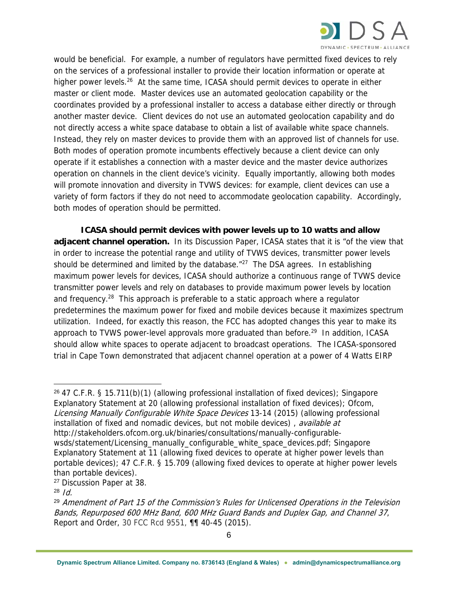

would be beneficial. For example, a number of regulators have permitted fixed devices to rely on the services of a professional installer to provide their location information or operate at higher power levels.<sup>26</sup> At the same time, ICASA should permit devices to operate in either master or client mode. Master devices use an automated geolocation capability or the coordinates provided by a professional installer to access a database either directly or through another master device. Client devices do not use an automated geolocation capability and do not directly access a white space database to obtain a list of available white space channels. Instead, they rely on master devices to provide them with an approved list of channels for use. Both modes of operation promote incumbents effectively because a client device can only operate if it establishes a connection with a master device and the master device authorizes operation on channels in the client device's vicinity. Equally importantly, allowing both modes will promote innovation and diversity in TVWS devices: for example, client devices can use a variety of form factors if they do not need to accommodate geolocation capability. Accordingly, both modes of operation should be permitted.

 **ICASA should permit devices with power levels up to 10 watts and allow adjacent channel operation.** In its Discussion Paper, ICASA states that it is "of the view that in order to increase the potential range and utility of TVWS devices, transmitter power levels should be determined and limited by the database. $"^{27}$  The DSA agrees. In establishing maximum power levels for devices, ICASA should authorize a continuous range of TVWS device transmitter power levels and rely on databases to provide maximum power levels by location and frequency.28 This approach is preferable to a static approach where a regulator predetermines the maximum power for fixed and mobile devices because it maximizes spectrum utilization. Indeed, for exactly this reason, the FCC has adopted changes this year to make its approach to TVWS power-level approvals more graduated than before.<sup>29</sup> In addition, ICASA should allow white spaces to operate adjacent to broadcast operations. The ICASA-sponsored trial in Cape Town demonstrated that adjacent channel operation at a power of 4 Watts EIRP

<sup>&</sup>lt;sup>26</sup> 47 C.F.R. § 15.711(b)(1) (allowing professional installation of fixed devices); Singapore Explanatory Statement at 20 (allowing professional installation of fixed devices); Ofcom, Licensing Manually Configurable White Space Devices 13-14 (2015) (allowing professional installation of fixed and nomadic devices, but not mobile devices), available at http://stakeholders.ofcom.org.uk/binaries/consultations/manually-configurablewsds/statement/Licensing\_manually\_configurable\_white\_space\_devices.pdf; Singapore Explanatory Statement at 11 (allowing fixed devices to operate at higher power levels than portable devices); 47 C.F.R. § 15.709 (allowing fixed devices to operate at higher power levels than portable devices).

<sup>27</sup> Discussion Paper at 38.

<sup>28</sup>  $\overline{d}$ 

<sup>&</sup>lt;sup>29</sup> Amendment of Part 15 of the Commission's Rules for Unlicensed Operations in the Television Bands, Repurposed 600 MHz Band, 600 MHz Guard Bands and Duplex Gap, and Channel 37, Report and Order, 30 FCC Rcd 9551, ¶¶ 40-45 (2015).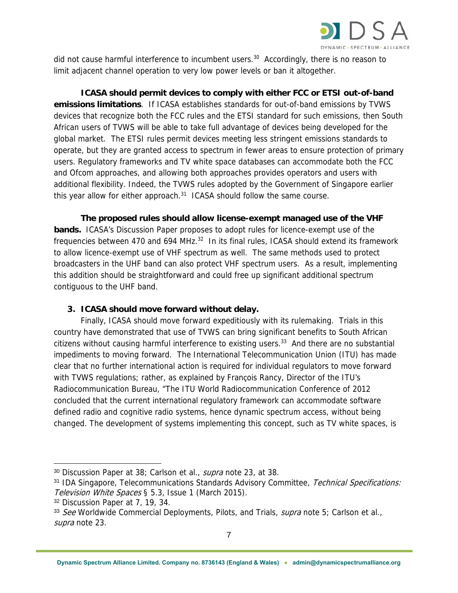

did not cause harmful interference to incumbent users.<sup>30</sup> Accordingly, there is no reason to limit adjacent channel operation to very low power levels or ban it altogether.

**ICASA should permit devices to comply with either FCC or ETSI out-of-band emissions limitations**. If ICASA establishes standards for out-of-band emissions by TVWS devices that recognize both the FCC rules and the ETSI standard for such emissions, then South African users of TVWS will be able to take full advantage of devices being developed for the global market. The ETSI rules permit devices meeting less stringent emissions standards to operate, but they are granted access to spectrum in fewer areas to ensure protection of primary users. Regulatory frameworks and TV white space databases can accommodate both the FCC and Ofcom approaches, and allowing both approaches provides operators and users with additional flexibility. Indeed, the TVWS rules adopted by the Government of Singapore earlier this year allow for either approach. $31$  ICASA should follow the same course.

**The proposed rules should allow license-exempt managed use of the VHF bands.** ICASA's Discussion Paper proposes to adopt rules for licence-exempt use of the frequencies between 470 and 694 MHz. $32$  In its final rules, ICASA should extend its framework to allow licence-exempt use of VHF spectrum as well. The same methods used to protect broadcasters in the UHF band can also protect VHF spectrum users. As a result, implementing this addition should be straightforward and could free up significant additional spectrum contiguous to the UHF band.

# **3. ICASA should move forward without delay.**

 Finally, ICASA should move forward expeditiously with its rulemaking. Trials in this country have demonstrated that use of TVWS can bring significant benefits to South African citizens without causing harmful interference to existing users. $33$  And there are no substantial impediments to moving forward. The International Telecommunication Union (ITU) has made clear that no further international action is required for individual regulators to move forward with TVWS regulations; rather, as explained by François Rancy, Director of the ITU's Radiocommunication Bureau, "The ITU World Radiocommunication Conference of 2012 concluded that the current international regulatory framework can accommodate software defined radio and cognitive radio systems, hence dynamic spectrum access, without being changed. The development of systems implementing this concept, such as TV white spaces, is

-

<sup>&</sup>lt;sup>30</sup> Discussion Paper at 38; Carlson et al., *supra* note 23, at 38.

<sup>31</sup> IDA Singapore, Telecommunications Standards Advisory Committee, Technical Specifications: Television White Spaces § 5.3, Issue 1 (March 2015).

<sup>32</sup> Discussion Paper at 7, 19, 34.

<sup>33</sup> See Worldwide Commercial Deployments, Pilots, and Trials, supra note 5; Carlson et al., supra note 23.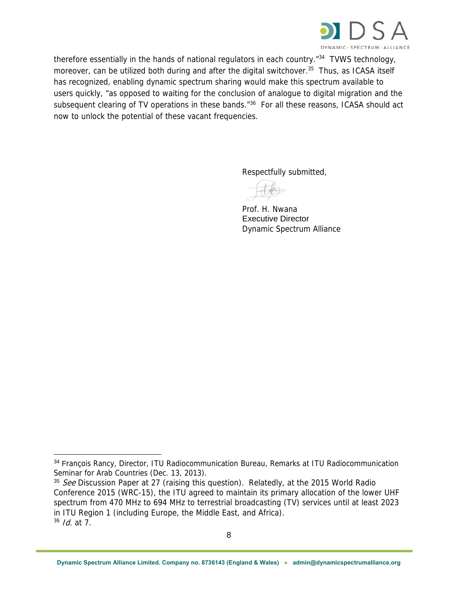

therefore essentially in the hands of national regulators in each country."<sup>34</sup> TVWS technology, moreover, can be utilized both during and after the digital switchover.<sup>35</sup> Thus, as ICASA itself has recognized, enabling dynamic spectrum sharing would make this spectrum available to users quickly, "as opposed to waiting for the conclusion of analogue to digital migration and the subsequent clearing of TV operations in these bands."<sup>36</sup> For all these reasons, ICASA should act now to unlock the potential of these vacant frequencies.

Respectfully submitted,

 Prof. H. Nwana Executive Director Dynamic Spectrum Alliance

<sup>&</sup>lt;sup>34</sup> François Rancy, Director, ITU Radiocommunication Bureau, Remarks at ITU Radiocommunication Seminar for Arab Countries (Dec. 13, 2013).

<sup>&</sup>lt;sup>35</sup> See Discussion Paper at 27 (raising this question). Relatedly, at the 2015 World Radio Conference 2015 (WRC-15), the ITU agreed to maintain its primary allocation of the lower UHF spectrum from 470 MHz to 694 MHz to terrestrial broadcasting (TV) services until at least 2023 in ITU Region 1 (including Europe, the Middle East, and Africa).  $36$  *Id.* at 7.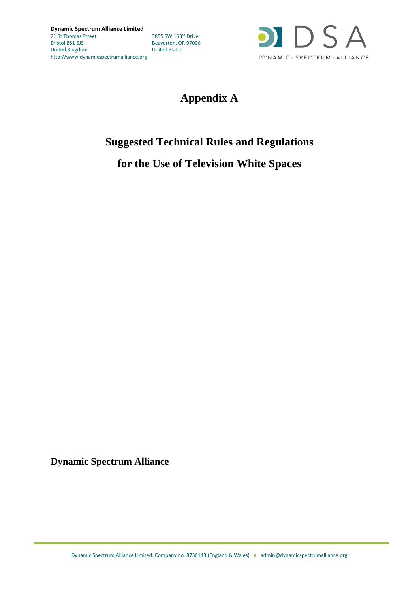Beaverton, OR 97006<br>United States



# **Appendix A**

# **Suggested Technical Rules and Regulations**

**for the Use of Television White Spaces**

**Dynamic Spectrum Alliance**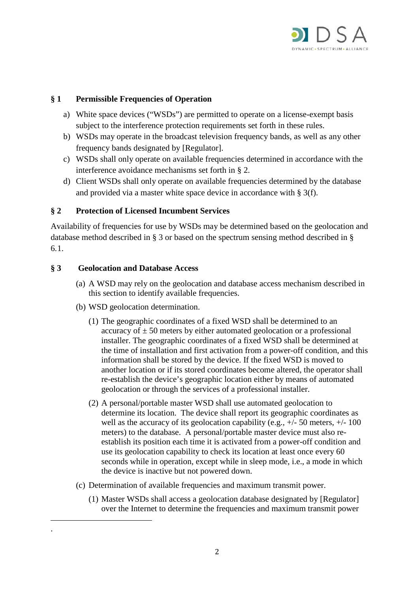

## **§ 1 Permissible Frequencies of Operation**

- a) White space devices ("WSDs") are permitted to operate on a license-exempt basis subject to the interference protection requirements set forth in these rules.
- b) WSDs may operate in the broadcast television frequency bands, as well as any other frequency bands designated by [Regulator].
- c) WSDs shall only operate on available frequencies determined in accordance with the interference avoidance mechanisms set forth in § 2.
- d) Client WSDs shall only operate on available frequencies determined by the database and provided via a master white space device in accordance with § 3(f).

### **§ 2 Protection of Licensed Incumbent Services**

Availability of frequencies for use by WSDs may be determined based on the geolocation and database method described in § 3 or based on the spectrum sensing method described in § 6.[1](#page-10-0).

#### **§ 3 Geolocation and Database Access**

<span id="page-10-0"></span>.

-

- (a) A WSD may rely on the geolocation and database access mechanism described in this section to identify available frequencies.
- (b) WSD geolocation determination.
	- (1) The geographic coordinates of a fixed WSD shall be determined to an accuracy of  $\pm$  50 meters by either automated geolocation or a professional installer. The geographic coordinates of a fixed WSD shall be determined at the time of installation and first activation from a power-off condition, and this information shall be stored by the device. If the fixed WSD is moved to another location or if its stored coordinates become altered, the operator shall re-establish the device's geographic location either by means of automated geolocation or through the services of a professional installer.
	- (2) A personal/portable master WSD shall use automated geolocation to determine its location. The device shall report its geographic coordinates as well as the accuracy of its geolocation capability (e.g.,  $+/-$  50 meters,  $+/-$  100 meters) to the database. A personal/portable master device must also reestablish its position each time it is activated from a power-off condition and use its geolocation capability to check its location at least once every 60 seconds while in operation, except while in sleep mode, i.e., a mode in which the device is inactive but not powered down.
- (c) Determination of available frequencies and maximum transmit power.
	- (1) Master WSDs shall access a geolocation database designated by [Regulator] over the Internet to determine the frequencies and maximum transmit power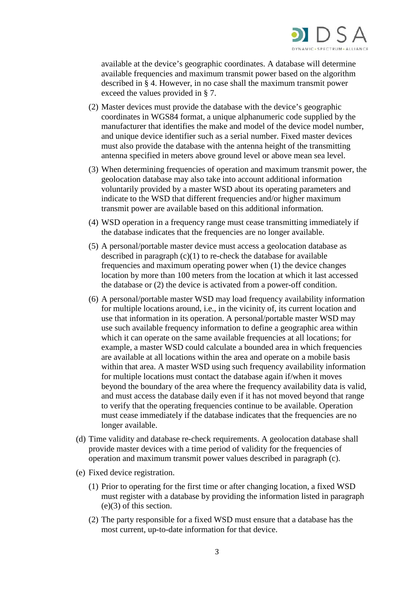

available at the device's geographic coordinates. A database will determine available frequencies and maximum transmit power based on the algorithm described in § 4. However, in no case shall the maximum transmit power exceed the values provided in § 7.

- (2) Master devices must provide the database with the device's geographic coordinates in WGS84 format, a unique alphanumeric code supplied by the manufacturer that identifies the make and model of the device model number, and unique device identifier such as a serial number. Fixed master devices must also provide the database with the antenna height of the transmitting antenna specified in meters above ground level or above mean sea level.
- (3) When determining frequencies of operation and maximum transmit power, the geolocation database may also take into account additional information voluntarily provided by a master WSD about its operating parameters and indicate to the WSD that different frequencies and/or higher maximum transmit power are available based on this additional information.
- (4) WSD operation in a frequency range must cease transmitting immediately if the database indicates that the frequencies are no longer available.
- (5) A personal/portable master device must access a geolocation database as described in paragraph  $(c)(1)$  to re-check the database for available frequencies and maximum operating power when (1) the device changes location by more than 100 meters from the location at which it last accessed the database or (2) the device is activated from a power-off condition.
- (6) A personal/portable master WSD may load frequency availability information for multiple locations around, i.e., in the vicinity of, its current location and use that information in its operation. A personal/portable master WSD may use such available frequency information to define a geographic area within which it can operate on the same available frequencies at all locations; for example, a master WSD could calculate a bounded area in which frequencies are available at all locations within the area and operate on a mobile basis within that area. A master WSD using such frequency availability information for multiple locations must contact the database again if/when it moves beyond the boundary of the area where the frequency availability data is valid, and must access the database daily even if it has not moved beyond that range to verify that the operating frequencies continue to be available. Operation must cease immediately if the database indicates that the frequencies are no longer available.
- (d) Time validity and database re-check requirements. A geolocation database shall provide master devices with a time period of validity for the frequencies of operation and maximum transmit power values described in paragraph (c).
- (e) Fixed device registration.
	- (1) Prior to operating for the first time or after changing location, a fixed WSD must register with a database by providing the information listed in paragraph (e)(3) of this section.
	- (2) The party responsible for a fixed WSD must ensure that a database has the most current, up-to-date information for that device.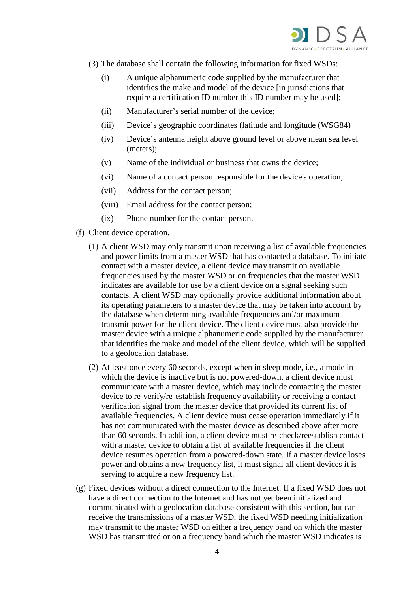

- (3) The database shall contain the following information for fixed WSDs:
	- (i) A unique alphanumeric code supplied by the manufacturer that identifies the make and model of the device [in jurisdictions that require a certification ID number this ID number may be used];
	- (ii) Manufacturer's serial number of the device;
	- (iii) Device's geographic coordinates (latitude and longitude (WSG84)
	- (iv) Device's antenna height above ground level or above mean sea level (meters);
	- (v) Name of the individual or business that owns the device;
	- (vi) Name of a contact person responsible for the device's operation;
	- (vii) Address for the contact person;
	- (viii) Email address for the contact person;
	- (ix) Phone number for the contact person.
- (f) Client device operation.
	- (1) A client WSD may only transmit upon receiving a list of available frequencies and power limits from a master WSD that has contacted a database. To initiate contact with a master device, a client device may transmit on available frequencies used by the master WSD or on frequencies that the master WSD indicates are available for use by a client device on a signal seeking such contacts. A client WSD may optionally provide additional information about its operating parameters to a master device that may be taken into account by the database when determining available frequencies and/or maximum transmit power for the client device. The client device must also provide the master device with a unique alphanumeric code supplied by the manufacturer that identifies the make and model of the client device, which will be supplied to a geolocation database.
	- (2) At least once every 60 seconds, except when in sleep mode, i.e., a mode in which the device is inactive but is not powered-down, a client device must communicate with a master device, which may include contacting the master device to re-verify/re-establish frequency availability or receiving a contact verification signal from the master device that provided its current list of available frequencies. A client device must cease operation immediately if it has not communicated with the master device as described above after more than 60 seconds. In addition, a client device must re-check/reestablish contact with a master device to obtain a list of available frequencies if the client device resumes operation from a powered-down state. If a master device loses power and obtains a new frequency list, it must signal all client devices it is serving to acquire a new frequency list.
- (g) Fixed devices without a direct connection to the Internet. If a fixed WSD does not have a direct connection to the Internet and has not yet been initialized and communicated with a geolocation database consistent with this section, but can receive the transmissions of a master WSD, the fixed WSD needing initialization may transmit to the master WSD on either a frequency band on which the master WSD has transmitted or on a frequency band which the master WSD indicates is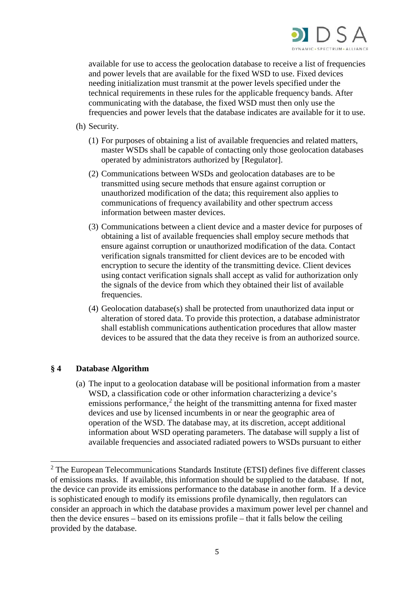

available for use to access the geolocation database to receive a list of frequencies and power levels that are available for the fixed WSD to use. Fixed devices needing initialization must transmit at the power levels specified under the technical requirements in these rules for the applicable frequency bands. After communicating with the database, the fixed WSD must then only use the frequencies and power levels that the database indicates are available for it to use.

- (h) Security.
	- (1) For purposes of obtaining a list of available frequencies and related matters, master WSDs shall be capable of contacting only those geolocation databases operated by administrators authorized by [Regulator].
	- (2) Communications between WSDs and geolocation databases are to be transmitted using secure methods that ensure against corruption or unauthorized modification of the data; this requirement also applies to communications of frequency availability and other spectrum access information between master devices.
	- (3) Communications between a client device and a master device for purposes of obtaining a list of available frequencies shall employ secure methods that ensure against corruption or unauthorized modification of the data. Contact verification signals transmitted for client devices are to be encoded with encryption to secure the identity of the transmitting device. Client devices using contact verification signals shall accept as valid for authorization only the signals of the device from which they obtained their list of available frequencies.
	- (4) Geolocation database(s) shall be protected from unauthorized data input or alteration of stored data. To provide this protection, a database administrator shall establish communications authentication procedures that allow master devices to be assured that the data they receive is from an authorized source.

### **§ 4 Database Algorithm**

(a) The input to a geolocation database will be positional information from a master WSD, a classification code or other information characterizing a device's emissions performance, $2$  the height of the transmitting antenna for fixed master devices and use by licensed incumbents in or near the geographic area of operation of the WSD. The database may, at its discretion, accept additional information about WSD operating parameters. The database will supply a list of available frequencies and associated radiated powers to WSDs pursuant to either

<span id="page-13-0"></span> $2$  The European Telecommunications Standards Institute (ETSI) defines five different classes of emissions masks. If available, this information should be supplied to the database. If not, the device can provide its emissions performance to the database in another form. If a device is sophisticated enough to modify its emissions profile dynamically, then regulators can consider an approach in which the database provides a maximum power level per channel and then the device ensures – based on its emissions profile – that it falls below the ceiling provided by the database.  $\frac{1}{2}$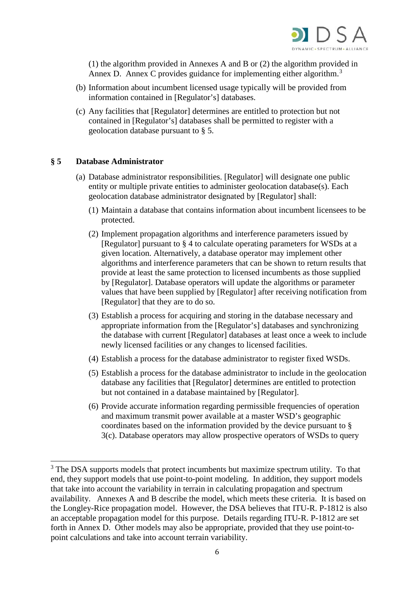

(1) the algorithm provided in Annexes A and B or (2) the algorithm provided in Annex D. Annex C provides guidance for implementing either algorithm.<sup>[3](#page-14-0)</sup>

- (b) Information about incumbent licensed usage typically will be provided from information contained in [Regulator's] databases.
- (c) Any facilities that [Regulator] determines are entitled to protection but not contained in [Regulator's] databases shall be permitted to register with a geolocation database pursuant to § 5.

#### **§ 5 Database Administrator**

- (a) Database administrator responsibilities. [Regulator] will designate one public entity or multiple private entities to administer geolocation database(s). Each geolocation database administrator designated by [Regulator] shall:
	- (1) Maintain a database that contains information about incumbent licensees to be protected.
	- (2) Implement propagation algorithms and interference parameters issued by [Regulator] pursuant to § 4 to calculate operating parameters for WSDs at a given location. Alternatively, a database operator may implement other algorithms and interference parameters that can be shown to return results that provide at least the same protection to licensed incumbents as those supplied by [Regulator]. Database operators will update the algorithms or parameter values that have been supplied by [Regulator] after receiving notification from [Regulator] that they are to do so.
	- (3) Establish a process for acquiring and storing in the database necessary and appropriate information from the [Regulator's] databases and synchronizing the database with current [Regulator] databases at least once a week to include newly licensed facilities or any changes to licensed facilities.
	- (4) Establish a process for the database administrator to register fixed WSDs.
	- (5) Establish a process for the database administrator to include in the geolocation database any facilities that [Regulator] determines are entitled to protection but not contained in a database maintained by [Regulator].
	- (6) Provide accurate information regarding permissible frequencies of operation and maximum transmit power available at a master WSD's geographic coordinates based on the information provided by the device pursuant to § 3(c). Database operators may allow prospective operators of WSDs to query

<span id="page-14-0"></span> $3$  The DSA supports models that protect incumbents but maximize spectrum utility. To that end, they support models that use point-to-point modeling. In addition, they support models that take into account the variability in terrain in calculating propagation and spectrum availability. Annexes A and B describe the model, which meets these criteria. It is based on the Longley-Rice propagation model. However, the DSA believes that ITU-R. P-1812 is also an acceptable propagation model for this purpose. Details regarding ITU-R. P-1812 are set forth in Annex D. Other models may also be appropriate, provided that they use point-topoint calculations and take into account terrain variability.  $\overline{\phantom{a}}$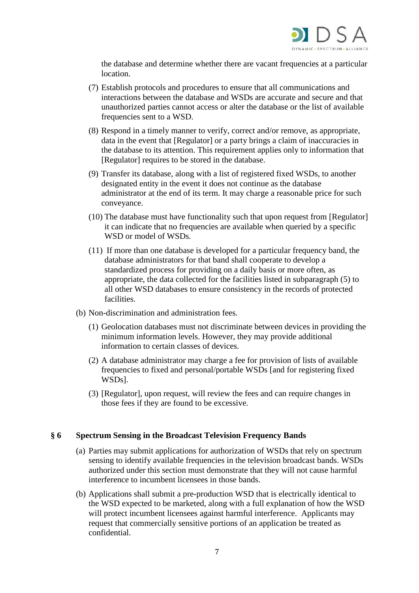

the database and determine whether there are vacant frequencies at a particular location.

- (7) Establish protocols and procedures to ensure that all communications and interactions between the database and WSDs are accurate and secure and that unauthorized parties cannot access or alter the database or the list of available frequencies sent to a WSD.
- (8) Respond in a timely manner to verify, correct and/or remove, as appropriate, data in the event that [Regulator] or a party brings a claim of inaccuracies in the database to its attention. This requirement applies only to information that [Regulator] requires to be stored in the database.
- (9) Transfer its database, along with a list of registered fixed WSDs, to another designated entity in the event it does not continue as the database administrator at the end of its term. It may charge a reasonable price for such conveyance.
- (10) The database must have functionality such that upon request from [Regulator] it can indicate that no frequencies are available when queried by a specific WSD or model of WSDs.
- (11) If more than one database is developed for a particular frequency band, the database administrators for that band shall cooperate to develop a standardized process for providing on a daily basis or more often, as appropriate, the data collected for the facilities listed in subparagraph (5) to all other WSD databases to ensure consistency in the records of protected facilities.
- (b) Non-discrimination and administration fees.
	- (1) Geolocation databases must not discriminate between devices in providing the minimum information levels. However, they may provide additional information to certain classes of devices.
	- (2) A database administrator may charge a fee for provision of lists of available frequencies to fixed and personal/portable WSDs [and for registering fixed WSDs].
	- (3) [Regulator], upon request, will review the fees and can require changes in those fees if they are found to be excessive.

#### **§ 6 Spectrum Sensing in the Broadcast Television Frequency Bands**

- (a) Parties may submit applications for authorization of WSDs that rely on spectrum sensing to identify available frequencies in the television broadcast bands. WSDs authorized under this section must demonstrate that they will not cause harmful interference to incumbent licensees in those bands.
- (b) Applications shall submit a pre-production WSD that is electrically identical to the WSD expected to be marketed, along with a full explanation of how the WSD will protect incumbent licensees against harmful interference. Applicants may request that commercially sensitive portions of an application be treated as confidential.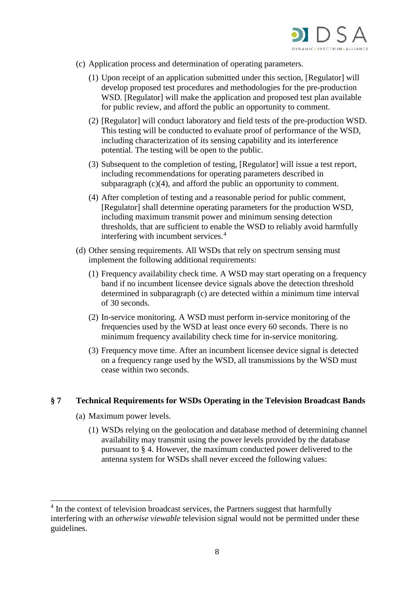

- (c) Application process and determination of operating parameters.
	- (1) Upon receipt of an application submitted under this section, [Regulator] will develop proposed test procedures and methodologies for the pre-production WSD. [Regulator] will make the application and proposed test plan available for public review, and afford the public an opportunity to comment.
	- (2) [Regulator] will conduct laboratory and field tests of the pre-production WSD. This testing will be conducted to evaluate proof of performance of the WSD, including characterization of its sensing capability and its interference potential. The testing will be open to the public.
	- (3) Subsequent to the completion of testing, [Regulator] will issue a test report, including recommendations for operating parameters described in subparagraph  $(c)(4)$ , and afford the public an opportunity to comment.
	- (4) After completion of testing and a reasonable period for public comment, [Regulator] shall determine operating parameters for the production WSD, including maximum transmit power and minimum sensing detection thresholds, that are sufficient to enable the WSD to reliably avoid harmfully interfering with incumbent services. [4](#page-16-0)
- (d) Other sensing requirements. All WSDs that rely on spectrum sensing must implement the following additional requirements:
	- (1) Frequency availability check time. A WSD may start operating on a frequency band if no incumbent licensee device signals above the detection threshold determined in subparagraph (c) are detected within a minimum time interval of 30 seconds.
	- (2) In-service monitoring. A WSD must perform in-service monitoring of the frequencies used by the WSD at least once every 60 seconds. There is no minimum frequency availability check time for in-service monitoring.
	- (3) Frequency move time. After an incumbent licensee device signal is detected on a frequency range used by the WSD, all transmissions by the WSD must cease within two seconds.

# **§ 7 Technical Requirements for WSDs Operating in the Television Broadcast Bands**

- (a) Maximum power levels.
	- (1) WSDs relying on the geolocation and database method of determining channel availability may transmit using the power levels provided by the database pursuant to § 4. However, the maximum conducted power delivered to the antenna system for WSDs shall never exceed the following values:

<span id="page-16-0"></span> $4$  In the context of television broadcast services, the Partners suggest that harmfully interfering with an *otherwise viewable* television signal would not be permitted under these guidelines.  $\overline{a}$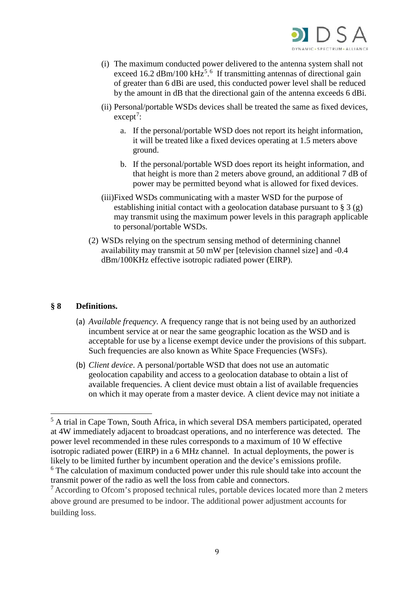

- (i) The maximum conducted power delivered to the antenna system shall not exceed  $16.2$  $16.2$  $16.2$  dBm/100 kHz<sup>[5](#page-17-0)</sup>.<sup>6</sup> If transmitting antennas of directional gain of greater than 6 dBi are used, this conducted power level shall be reduced by the amount in dB that the directional gain of the antenna exceeds 6 dBi.
- (ii) Personal/portable WSDs devices shall be treated the same as fixed devices,  $except^7$  $except^7$ :
	- a. If the personal/portable WSD does not report its height information, it will be treated like a fixed devices operating at 1.5 meters above ground.
	- b. If the personal/portable WSD does report its height information, and that height is more than 2 meters above ground, an additional 7 dB of power may be permitted beyond what is allowed for fixed devices.
- (iii)Fixed WSDs communicating with a master WSD for the purpose of establishing initial contact with a geolocation database pursuant to  $\S 3(g)$ may transmit using the maximum power levels in this paragraph applicable to personal/portable WSDs.
- (2) WSDs relying on the spectrum sensing method of determining channel availability may transmit at 50 mW per [television channel size] and -0.4 dBm/100KHz effective isotropic radiated power (EIRP).

#### **§ 8 Definitions.**

- (a) *Available frequency*. A frequency range that is not being used by an authorized incumbent service at or near the same geographic location as the WSD and is acceptable for use by a license exempt device under the provisions of this subpart. Such frequencies are also known as White Space Frequencies (WSFs).
- (b) *Client device*. A personal/portable WSD that does not use an automatic geolocation capability and access to a geolocation database to obtain a list of available frequencies. A client device must obtain a list of available frequencies on which it may operate from a master device. A client device may not initiate a

<span id="page-17-0"></span><sup>&</sup>lt;sup>5</sup> A trial in Cape Town, South Africa, in which several DSA members participated, operated at 4W immediately adjacent to broadcast operations, and no interference was detected. The power level recommended in these rules corresponds to a maximum of 10 W effective isotropic radiated power (EIRP) in a 6 MHz channel. In actual deployments, the power is likely to be limited further by incumbent operation and the device's emissions profile. <sup>6</sup> The calculation of maximum conducted power under this rule should take into account the  $\frac{1}{2}$ 

<span id="page-17-1"></span>transmit power of the radio as well the loss from cable and connectors.

<span id="page-17-2"></span> $<sup>7</sup>$  According to Ofcom's proposed technical rules, portable devices located more than 2 meters</sup> above ground are presumed to be indoor. The additional power adjustment accounts for building loss.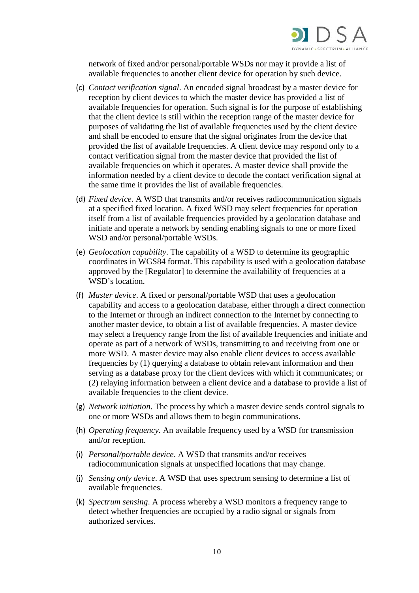

network of fixed and/or personal/portable WSDs nor may it provide a list of available frequencies to another client device for operation by such device.

- (c) *Contact verification signal*. An encoded signal broadcast by a master device for reception by client devices to which the master device has provided a list of available frequencies for operation. Such signal is for the purpose of establishing that the client device is still within the reception range of the master device for purposes of validating the list of available frequencies used by the client device and shall be encoded to ensure that the signal originates from the device that provided the list of available frequencies. A client device may respond only to a contact verification signal from the master device that provided the list of available frequencies on which it operates. A master device shall provide the information needed by a client device to decode the contact verification signal at the same time it provides the list of available frequencies.
- (d) *Fixed device*. A WSD that transmits and/or receives radiocommunication signals at a specified fixed location. A fixed WSD may select frequencies for operation itself from a list of available frequencies provided by a geolocation database and initiate and operate a network by sending enabling signals to one or more fixed WSD and/or personal/portable WSDs.
- (e) *Geolocation capability*. The capability of a WSD to determine its geographic coordinates in WGS84 format. This capability is used with a geolocation database approved by the [Regulator] to determine the availability of frequencies at a WSD's location.
- (f) *Master device*. A fixed or personal/portable WSD that uses a geolocation capability and access to a geolocation database, either through a direct connection to the Internet or through an indirect connection to the Internet by connecting to another master device, to obtain a list of available frequencies. A master device may select a frequency range from the list of available frequencies and initiate and operate as part of a network of WSDs, transmitting to and receiving from one or more WSD. A master device may also enable client devices to access available frequencies by (1) querying a database to obtain relevant information and then serving as a database proxy for the client devices with which it communicates; or (2) relaying information between a client device and a database to provide a list of available frequencies to the client device.
- (g) *Network initiation*. The process by which a master device sends control signals to one or more WSDs and allows them to begin communications.
- (h) *Operating frequency*. An available frequency used by a WSD for transmission and/or reception.
- (i) *Personal/portable device*. A WSD that transmits and/or receives radiocommunication signals at unspecified locations that may change.
- (j) *Sensing only device*. A WSD that uses spectrum sensing to determine a list of available frequencies.
- (k) *Spectrum sensing*. A process whereby a WSD monitors a frequency range to detect whether frequencies are occupied by a radio signal or signals from authorized services.